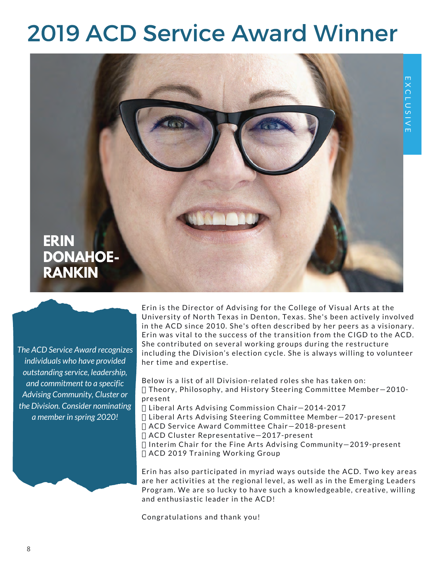## 2019 ACD Service Award Winner



*The ACD Service Award recognizes individuals who have provided outstanding service, leadership, and commitment to a specific Advising Community, Cluster or the Division. Consider nominating a member in spring 2020!*

**ERIN** 

**DONAHOE-RANKIN**<br>Principle of the principle of the principle of the principle of the principle of the principle of the principle of the principle of the principle of the principle of the principle of the principle of the p Erin is the Director of Advising for the College of Visual Arts at the University of North Texas in Denton, Texas. She's been actively involved in the ACD since 2010. She's often described by her peers as a visionary. Erin was vital to the success of the transition from the CIGD to the ACD. She contributed on several working groups during the restructure including the Division's election cycle. She is always willing to volunteer her time and expertise.

> Below is a list of all Division-related roles she has taken on: Theory, Philosophy, and History Steering Committee Member—2010 present

Liberal Arts Advising Commission Chair—2014-2017

Liberal Arts Advising Steering Committee Member—2017-present

ACD Service Award Committee Chair—2018-present

ACD Cluster Representative—2017-present

 Interim Chair for the Fine Arts Advising Community—2019-present ACD 2019 Training Working Group

Erin has also participated in myriad ways outside the ACD. Two key areas are her activities at the regional level, as well as in the Emerging Leaders Program. We are so lucky to have such a knowledgeable, creative, willing and enthusiastic leader in the ACD!

Congratulations and thank you!